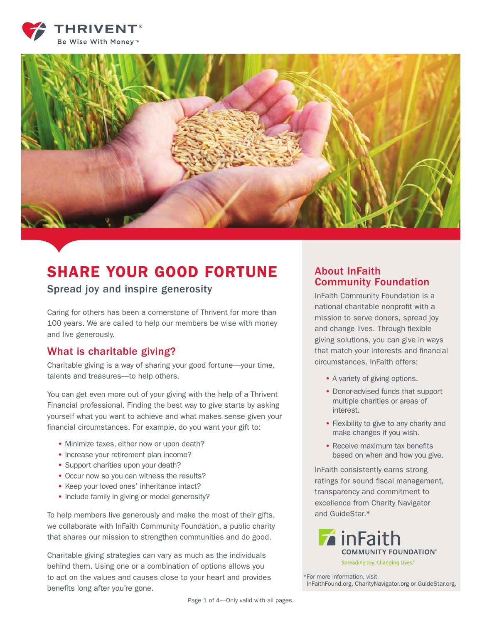



# SHARE YOUR GOOD FORTUNE

#### Spread joy and inspire generosity

Caring for others has been a cornerstone of Thrivent for more than 100 years. We are called to help our members be wise with money and live generously.

#### What is charitable giving?

Charitable giving is a way of sharing your good fortune—your time, talents and treasures—to help others.

You can get even more out of your giving with the help of a Thrivent Financial professional. Finding the best way to give starts by asking yourself what you want to achieve and what makes sense given your financial circumstances. For example, do you want your gift to:

- Minimize taxes, either now or upon death?
- Increase your retirement plan income?
- Support charities upon your death?
- Occur now so you can witness the results?
- Keep your loved ones' inheritance intact?
- Include family in giving or model generosity?

To help members live generously and make the most of their gifts, we collaborate with InFaith Community Foundation, a public charity that shares our mission to strengthen communities and do good.

Charitable giving strategies can vary as much as the individuals behind them. Using one or a combination of options allows you to act on the values and causes close to your heart and provides benefits long after you're gone.

#### About InFaith Community Foundation

InFaith Community Foundation is a national charitable nonprofit with a mission to serve donors, spread joy and change lives. Through flexible giving solutions, you can give in ways that match your interests and financial circumstances. InFaith offers:

- A variety of giving options.
- Donor-advised funds that support multiple charities or areas of interest.
- Flexibility to give to any charity and make changes if you wish.
- Receive maximum tax benefits based on when and how you give.

InFaith consistently earns strong ratings for sound fiscal management, transparency and commitment to excellence from Charity Navigator and GuideStar\*

inFaith **COMMUNITY FOUNDATION®** Spreading Joy. Changing Lives.\*

\*For more information, visit InFaithFound.org, CharityNavigator.org or GuideStar.org.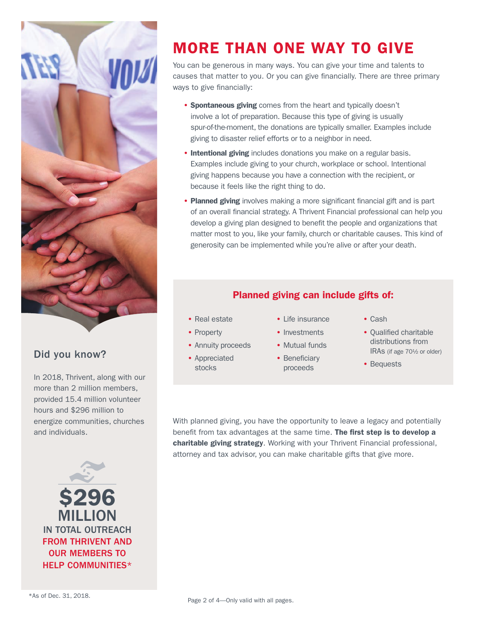

### Did you know?

In 2018, Thrivent, along with our more than 2 million members, provided 15.4 million volunteer hours and \$296 million to energize communities, churches and individuals.



# MORE THAN ONE WAY TO GIVE

You can be generous in many ways. You can give your time and talents to causes that matter to you. Or you can give financially. There are three primary ways to give financially:

- Spontaneous giving comes from the heart and typically doesn't involve a lot of preparation. Because this type of giving is usually spur-of-the-moment, the donations are typically smaller. Examples include giving to disaster relief efforts or to a neighbor in need.
- Intentional giving includes donations you make on a regular basis. Examples include giving to your church, workplace or school. Intentional giving happens because you have a connection with the recipient, or because it feels like the right thing to do.
- Planned giving involves making a more significant financial gift and is part of an overall financial strategy. A Thrivent Financial professional can help you develop a giving plan designed to benefit the people and organizations that matter most to you, like your family, church or charitable causes. This kind of generosity can be implemented while you're alive or after your death.

#### Planned giving can include gifts of:

- Real estate
- Property
- Annuity proceeds
- Appreciated stocks
- Life insurance
- Investments
- Mutual funds
- Beneficiary proceeds
- Cash
- Qualified charitable distributions from IRAs (if age 70½ or older)
- Bequests

With planned giving, you have the opportunity to leave a legacy and potentially benefit from tax advantages at the same time. The first step is to develop a charitable giving strategy. Working with your Thrivent Financial professional, attorney and tax advisor, you can make charitable gifts that give more.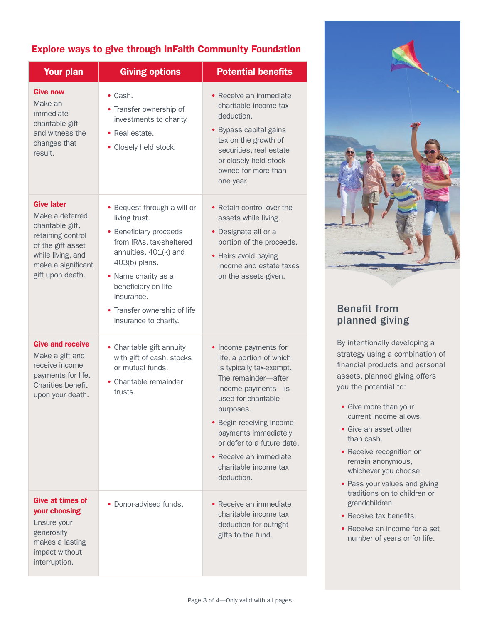#### Explore ways to give through InFaith Community Foundation

| <b>Your plan</b>                                                                                                                                                  | <b>Giving options</b>                                                                                                                                                                                                                                             | <b>Potential benefits</b>                                                                                                                                                                                                                                                                                         |
|-------------------------------------------------------------------------------------------------------------------------------------------------------------------|-------------------------------------------------------------------------------------------------------------------------------------------------------------------------------------------------------------------------------------------------------------------|-------------------------------------------------------------------------------------------------------------------------------------------------------------------------------------------------------------------------------------------------------------------------------------------------------------------|
| <b>Give now</b><br>Make an<br>immediate<br>charitable gift<br>and witness the<br>changes that<br>result.                                                          | $\bullet$ Cash.<br>• Transfer ownership of<br>investments to charity.<br>• Real estate.<br>• Closely held stock.                                                                                                                                                  | • Receive an immediate<br>charitable income tax<br>deduction.<br>• Bypass capital gains<br>tax on the growth of<br>securities, real estate<br>or closely held stock<br>owned for more than<br>one year.                                                                                                           |
| <b>Give later</b><br>Make a deferred<br>charitable gift,<br>retaining control<br>of the gift asset<br>while living, and<br>make a significant<br>gift upon death. | • Bequest through a will or<br>living trust.<br>• Beneficiary proceeds<br>from IRAs, tax-sheltered<br>annuities, 401(k) and<br>403(b) plans.<br>• Name charity as a<br>beneficiary on life<br>insurance.<br>• Transfer ownership of life<br>insurance to charity. | • Retain control over the<br>assets while living.<br>• Designate all or a<br>portion of the proceeds.<br>• Heirs avoid paying<br>income and estate taxes<br>on the assets given.                                                                                                                                  |
| <b>Give and receive</b><br>Make a gift and<br>receive income<br>payments for life.<br><b>Charities benefit</b><br>upon your death.                                | • Charitable gift annuity<br>with gift of cash, stocks<br>or mutual funds.<br>• Charitable remainder<br>trusts.                                                                                                                                                   | • Income payments for<br>life, a portion of which<br>is typically tax-exempt.<br>The remainder-after<br>income payments-is<br>used for charitable<br>purposes.<br>• Begin receiving income<br>payments immediately<br>or defer to a future date.<br>• Receive an immediate<br>charitable income tax<br>deduction. |
| <b>Give at times of</b><br>your choosing<br>Ensure your<br>generosity<br>makes a lasting<br>impact without<br>interruption.                                       | • Donor-advised funds.                                                                                                                                                                                                                                            | • Receive an immediate<br>charitable income tax<br>deduction for outright<br>gifts to the fund.                                                                                                                                                                                                                   |



### Benefit from planned giving

By intentionally developing a strategy using a combination of financial products and personal assets, planned giving offers you the potential to:

- Give more than your current income allows.
- Give an asset other than cash.
- Receive recognition or remain anonymous, whichever you choose.
- Pass your values and giving traditions on to children or grandchildren.
- Receive tax benefits.
- Receive an income for a set number of years or for life.